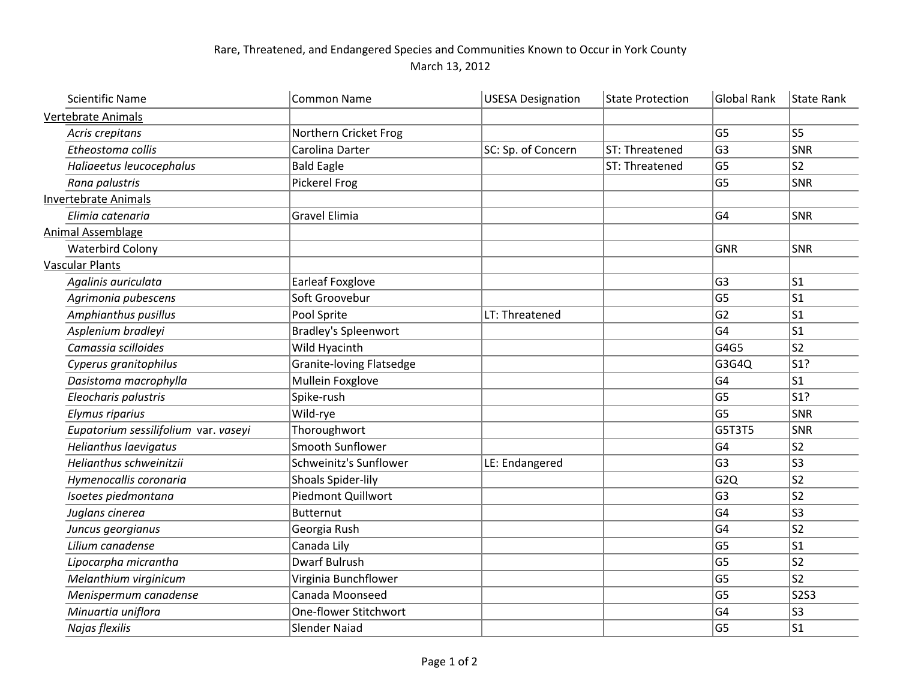## Rare, Threatened, and Endangered Species and Communities Known to Occur in York County March 13, 2012

| <b>Scientific Name</b>               | Common Name                     | <b>USESA Designation</b> | <b>State Protection</b> | <b>Global Rank</b> | State Rank     |
|--------------------------------------|---------------------------------|--------------------------|-------------------------|--------------------|----------------|
| <b>Vertebrate Animals</b>            |                                 |                          |                         |                    |                |
| Acris crepitans                      | Northern Cricket Frog           |                          |                         | G <sub>5</sub>     | <b>S5</b>      |
| Etheostoma collis                    | Carolina Darter                 | SC: Sp. of Concern       | ST: Threatened          | G <sub>3</sub>     | SNR            |
| Haliaeetus leucocephalus             | <b>Bald Eagle</b>               |                          | ST: Threatened          | G <sub>5</sub>     | S <sub>2</sub> |
| Rana palustris                       | Pickerel Frog                   |                          |                         | G <sub>5</sub>     | SNR            |
| Invertebrate Animals                 |                                 |                          |                         |                    |                |
| Elimia catenaria                     | <b>Gravel Elimia</b>            |                          |                         | G <sub>4</sub>     | <b>SNR</b>     |
| Animal Assemblage                    |                                 |                          |                         |                    |                |
| <b>Waterbird Colony</b>              |                                 |                          |                         | <b>GNR</b>         | <b>SNR</b>     |
| <b>Vascular Plants</b>               |                                 |                          |                         |                    |                |
| Agalinis auriculata                  | <b>Earleaf Foxglove</b>         |                          |                         | G <sub>3</sub>     | ls1            |
| Agrimonia pubescens                  | Soft Groovebur                  |                          |                         | G <sub>5</sub>     | S <sub>1</sub> |
| Amphianthus pusillus                 | Pool Sprite                     | LT: Threatened           |                         | G <sub>2</sub>     | ls1            |
| Asplenium bradleyi                   | <b>Bradley's Spleenwort</b>     |                          |                         | G <sub>4</sub>     | S <sub>1</sub> |
| Camassia scilloides                  | Wild Hyacinth                   |                          |                         | G4G5               | S <sub>2</sub> |
| Cyperus granitophilus                | <b>Granite-loving Flatsedge</b> |                          |                         | G3G4Q              | S1?            |
| Dasistoma macrophylla                | Mullein Foxglove                |                          |                         | G <sub>4</sub>     | $\mathsf{S}1$  |
| Eleocharis palustris                 | Spike-rush                      |                          |                         | G <sub>5</sub>     | S1?            |
| <b>Elymus riparius</b>               | Wild-rye                        |                          |                         | G <sub>5</sub>     | SNR            |
| Eupatorium sessilifolium var. vaseyi | Thoroughwort                    |                          |                         | G5T3T5             | SNR            |
| Helianthus laevigatus                | Smooth Sunflower                |                          |                         | G <sub>4</sub>     | S <sub>2</sub> |
| Helianthus schweinitzii              | Schweinitz's Sunflower          | LE: Endangered           |                         | G <sub>3</sub>     | S <sub>3</sub> |
| Hymenocallis coronaria               | Shoals Spider-lily              |                          |                         | G <sub>2Q</sub>    | S <sub>2</sub> |
| Isoetes piedmontana                  | Piedmont Quillwort              |                          |                         | G <sub>3</sub>     | S <sub>2</sub> |
| Juglans cinerea                      | Butternut                       |                          |                         | G <sub>4</sub>     | S <sub>3</sub> |
| Juncus georgianus                    | Georgia Rush                    |                          |                         | G <sub>4</sub>     | S <sub>2</sub> |
| Lilium canadense                     | Canada Lily                     |                          |                         | G <sub>5</sub>     | S <sub>1</sub> |
| Lipocarpha micrantha                 | <b>Dwarf Bulrush</b>            |                          |                         | G <sub>5</sub>     | S <sub>2</sub> |
| Melanthium virginicum                | Virginia Bunchflower            |                          |                         | G <sub>5</sub>     | S <sub>2</sub> |
| Menispermum canadense                | Canada Moonseed                 |                          |                         | G <sub>5</sub>     | <b>S2S3</b>    |
| Minuartia uniflora                   | One-flower Stitchwort           |                          |                         | G <sub>4</sub>     | S <sub>3</sub> |
| Najas flexilis                       | Slender Naiad                   |                          |                         | G <sub>5</sub>     | S1             |